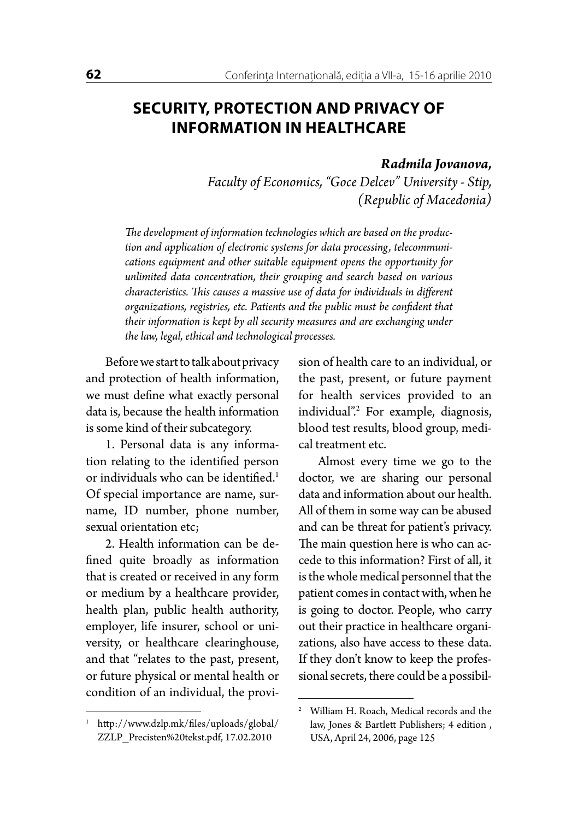## **SECURITY, PROTECTION AND PRIVACY OF INFORMATION IN HEALTHCARE**

## *Radmila Jovanova,*

*Faculty of Economics, "Goce Delcev" University - Stip, (Republic of Macedonia)*

*The development of information technologies which are based on the production and application of electronic systems for data processing, telecommunications equipment and other suitable equipment opens the opportunity for unlimited data concentration, their grouping and search based on various characteristics. This causes a massive use of data for individuals in different organizations, registries, etc. Patients and the public must be confident that their information is kept by all security measures and are exchanging under the law, legal, ethical and technological processes.*

Before we start to talk about privacy and protection of health information, we must define what exactly personal data is, because the health information is some kind of their subcategory.

1. Personal data is any information relating to the identified person or individuals who can be identified.<sup>1</sup> Of special importance are name, surname, ID number, phone number, sexual orientation etc;

2. Health information can be defined quite broadly as information that is created or received in any form or medium by a healthcare provider, health plan, public health authority, employer, life insurer, school or university, or healthcare clearinghouse, and that "relates to the past, present, or future physical or mental health or condition of an individual, the provision of health care to an individual, or the past, present, or future payment for health services provided to an individual".2 For example, diagnosis, blood test results, blood group, medical treatment etc.

Almost every time we go to the doctor, we are sharing our personal data and information about our health. All of them in some way can be abused and can be threat for patient's privacy. The main question here is who can accede to this information? First of all, it is the whole medical personnel that the patient comes in contact with, when he is going to doctor. People, who carry out their practice in healthcare organizations, also have access to these data. If they don't know to keep the professional secrets, there could be a possibil-

<sup>1</sup> http://www.dzlp.mk/files/uploads/global/ ZZLP\_Precisten%20tekst.pdf, 17.02.2010

<sup>2</sup> William H. Roach, Medical records and the law, Jones & Bartlett Publishers; 4 edition , USA, April 24, 2006, page 125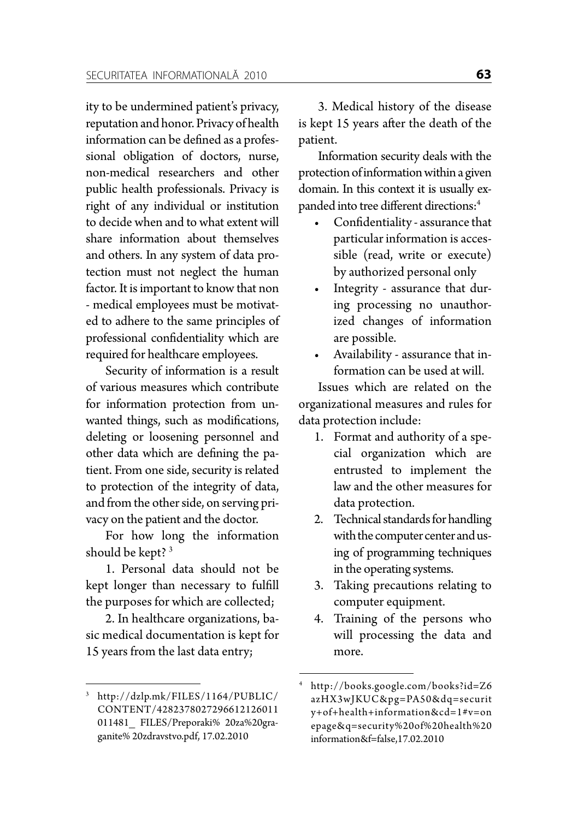ity to be undermined patient's privacy, reputation and honor. Privacy of health information can be defined as a professional obligation of doctors, nurse, non-medical researchers and other public health professionals. Privacy is right of any individual or institution to decide when and to what extent will share information about themselves and others. In any system of data protection must not neglect the human factor. It is important to know that non - medical employees must be motivated to adhere to the same principles of professional confidentiality which are required for healthcare employees.

Security of information is a result of various measures which contribute for information protection from unwanted things, such as modifications, deleting or loosening personnel and other data which are defining the patient. From one side, security is related to protection of the integrity of data, and from the other side, on serving privacy on the patient and the doctor.

For how long the information should be kept? 3

1. Personal data should not be kept longer than necessary to fulfill the purposes for which are collected;

2. In healthcare organizations, basic medical documentation is kept for 15 years from the last data entry;

3. Medical history of the disease is kept 15 years after the death of the patient.

Information security deals with the protection of information within a given domain. In this context it is usually expanded into tree different directions:4

- Confidentiality assurance that particular information is accessible (read, write or execute) by authorized personal only
- Integrity assurance that during processing no unauthorized changes of information are possible.
- • Availability assurance that information can be used at will.

Issues which are related on the organizational measures and rules for data protection include:

- 1. Format and authority of a special organization which are entrusted to implement the law and the other measures for data protection.
- 2. Technical standards for handling with the computer center and using of programming techniques in the operating systems.
- 3. Taking precautions relating to computer equipment.
- 4. Training of the persons who will processing the data and more.

<sup>3</sup> http://dzlp.mk/FILES/1164/PUBLIC/ CONTENT/4282378027296612126011 011481 FILES/Preporaki% 20za%20graganite% 20zdravstvo.pdf, 17.02.2010

<sup>4</sup> http://books.google.com/books?id=Z6 azHX3wJKUC&pg=PA50&dq=securit y+of+health+information&cd=1#v=on epage&q=security%20of%20health%20 information&f=false,17.02.2010